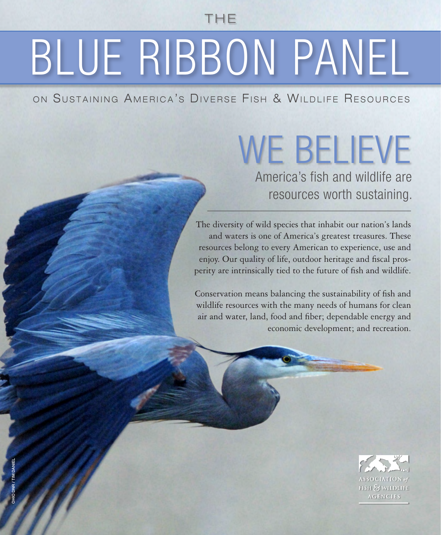THE

## BLUE RIBBON PANEL

ON SUSTAINING AMERICA'S DIVERSE FISH & WILDLIFE RESOURCES

## WE BELIEVE

America's fish and wildlife are resources worth sustaining.

The diversity of wild species that inhabit our nation's lands and waters is one of America's greatest treasures. These resources belong to every American to experience, use and enjoy. Our quality of life, outdoor heritage and fiscal prosperity are intrinsically tied to the future of fish and wildlife.

Conservation means balancing the sustainability of fish and wildlife resources with the many needs of humans for clean air and water, land, food and fiber; dependable energy and economic development; and recreation.

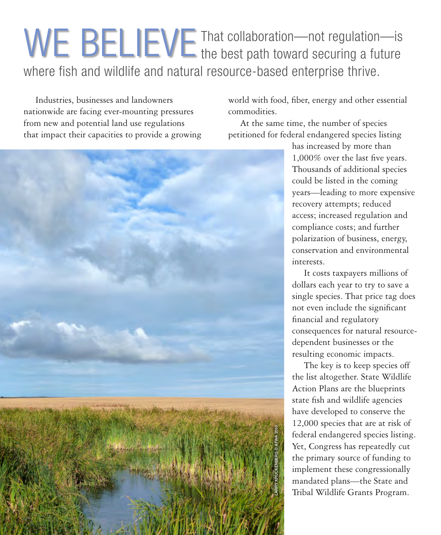## That collaboration—not regulation—is WE BELIEVE That collaboration-not regulation-is where fish and wildlife and natural resource-based enterprise thrive.

Industries, businesses and landowners nationwide are facing ever-mounting pressures from new and potential land use regulations that impact their capacities to provide a growing

world with food, fiber, energy and other essential commodities.

At the same time, the number of species petitioned for federal endangered species listing



has increased by more than 1,000% over the last five years. Thousands of additional species could be listed in the coming years—leading to more expensive recovery attempts; reduced access; increased regulation and compliance costs; and further polarization of business, energy, conservation and environmental interests.

It costs taxpayers millions of dollars each year to try to save a single species. That price tag does not even include the significant financial and regulatory consequences for natural resourcedependent businesses or the resulting economic impacts.

The key is to keep species off the list altogether. State Wildlife Action Plans are the blueprints state fish and wildlife agencies have developed to conserve the 12,000 species that are at risk of federal endangered species listing. Yet, Congress has repeatedly cut the primary source of funding to implement these congressionally mandated plans—the State and Tribal Wildlife Grants Program.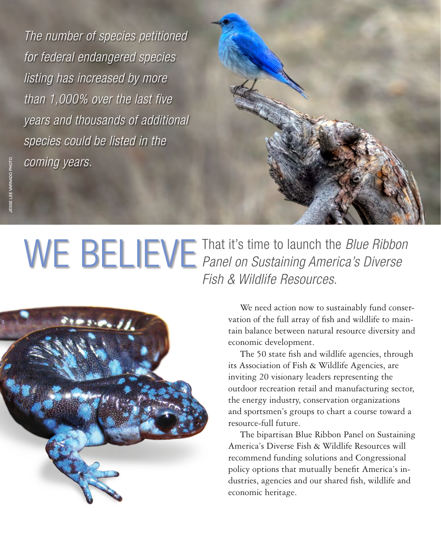*The number of species petitioned for federal endangered species listing has increased by more than 1,000% over the last five years and thousands of additional species could be listed in the coming years.*



That it's time to launch the *Blue Ribbon*  WE BELIEVE That it's time to launch the *Blue Ribbor* Panel on Sustaining America's Diverse *Fish & Wildlife Resources*.



We need action now to sustainably fund conservation of the full array of fish and wildlife to maintain balance between natural resource diversity and economic development.

The 50 state fish and wildlife agencies, through its Association of Fish & Wildlife Agencies, are inviting 20 visionary leaders representing the outdoor recreation retail and manufacturing sector, the energy industry, conservation organizations and sportsmen's groups to chart a course toward a resource-full future.

The bipartisan Blue Ribbon Panel on Sustaining America's Diverse Fish & Wildlife Resources will recommend funding solutions and Congressional policy options that mutually benefit America's industries, agencies and our shared fish, wildlife and economic heritage.